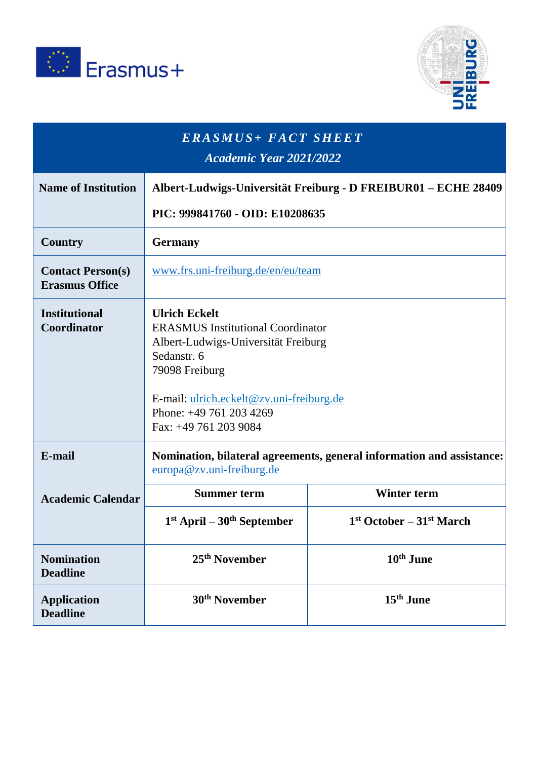



| <b>ERASMUS+ FACT SHEET</b><br><b>Academic Year 2021/2022</b> |                                                                                                                                                                                                                                          |                            |
|--------------------------------------------------------------|------------------------------------------------------------------------------------------------------------------------------------------------------------------------------------------------------------------------------------------|----------------------------|
| <b>Name of Institution</b>                                   | Albert-Ludwigs-Universität Freiburg - D FREIBUR01 – ECHE 28409                                                                                                                                                                           |                            |
|                                                              | PIC: 999841760 - OID: E10208635                                                                                                                                                                                                          |                            |
| Country                                                      | <b>Germany</b>                                                                                                                                                                                                                           |                            |
| <b>Contact Person(s)</b><br><b>Erasmus Office</b>            | www.frs.uni-freiburg.de/en/eu/team                                                                                                                                                                                                       |                            |
| <b>Institutional</b><br>Coordinator                          | <b>Ulrich Eckelt</b><br><b>ERASMUS Institutional Coordinator</b><br>Albert-Ludwigs-Universität Freiburg<br>Sedanstr. 6<br>79098 Freiburg<br>E-mail: ulrich.eckelt@zv.uni-freiburg.de<br>Phone: +49 761 203 4269<br>Fax: +49 761 203 9084 |                            |
| E-mail                                                       | Nomination, bilateral agreements, general information and assistance:<br>europa@zv.uni-freiburg.de                                                                                                                                       |                            |
| <b>Academic Calendar</b>                                     | <b>Summer term</b>                                                                                                                                                                                                                       | <b>Winter term</b>         |
|                                                              | $1st$ April – $30th$ September                                                                                                                                                                                                           | $1st October - 31st March$ |
| <b>Nomination</b><br><b>Deadline</b>                         | 25 <sup>th</sup> November                                                                                                                                                                                                                | 10 <sup>th</sup> June      |
| <b>Application</b><br><b>Deadline</b>                        | 30 <sup>th</sup> November                                                                                                                                                                                                                | 15 <sup>th</sup> June      |